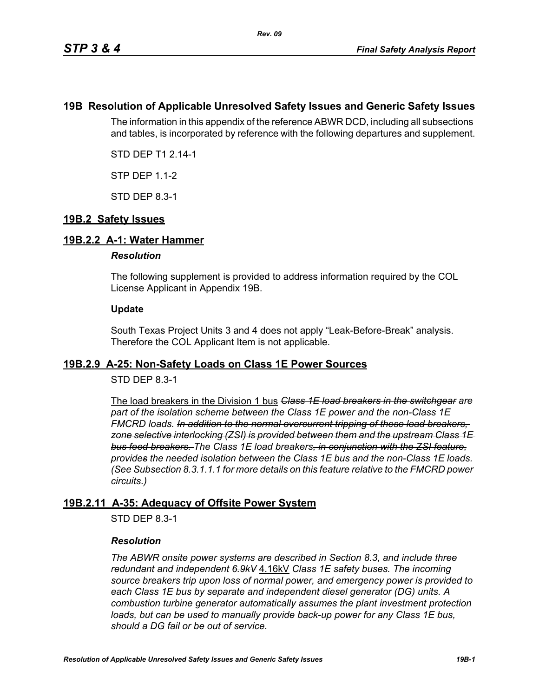## **19B Resolution of Applicable Unresolved Safety Issues and Generic Safety Issues**

The information in this appendix of the reference ABWR DCD, including all subsections and tables, is incorporated by reference with the following departures and supplement.

STD DEP T1 2.14-1

STP DEP 1.1-2

STD DEP 8.3-1

## **19B.2 Safety Issues**

### **19B.2.2 A-1: Water Hammer**

#### *Resolution*

The following supplement is provided to address information required by the COL License Applicant in Appendix 19B.

### **Update**

South Texas Project Units 3 and 4 does not apply "Leak-Before-Break" analysis. Therefore the COL Applicant Item is not applicable.

### **19B.2.9 A-25: Non-Safety Loads on Class 1E Power Sources**

## STD DEP 8.3-1

The load breakers in the Division 1 bus *Class 1E load breakers in the switchgear are part of the isolation scheme between the Class 1E power and the non-Class 1E FMCRD loads. In addition to the normal overcurrent tripping of these load breakers, zone selective interlocking (ZSI) is provided between them and the upstream Class 1E bus feed breakers. The Class 1E load breakers, in conjunction with the ZSI feature, provides the needed isolation between the Class 1E bus and the non-Class 1E loads. (See Subsection 8.3.1.1.1 for more details on this feature relative to the FMCRD power circuits.)*

## **19B.2.11 A-35: Adequacy of Offsite Power System**

STD DEP 8.3-1

### *Resolution*

*The ABWR onsite power systems are described in Section 8.3, and include three redundant and independent 6.9kV* 4.16kV *Class 1E safety buses. The incoming source breakers trip upon loss of normal power, and emergency power is provided to each Class 1E bus by separate and independent diesel generator (DG) units. A combustion turbine generator automatically assumes the plant investment protection*  loads, but can be used to manually provide back-up power for any Class 1E bus, *should a DG fail or be out of service.*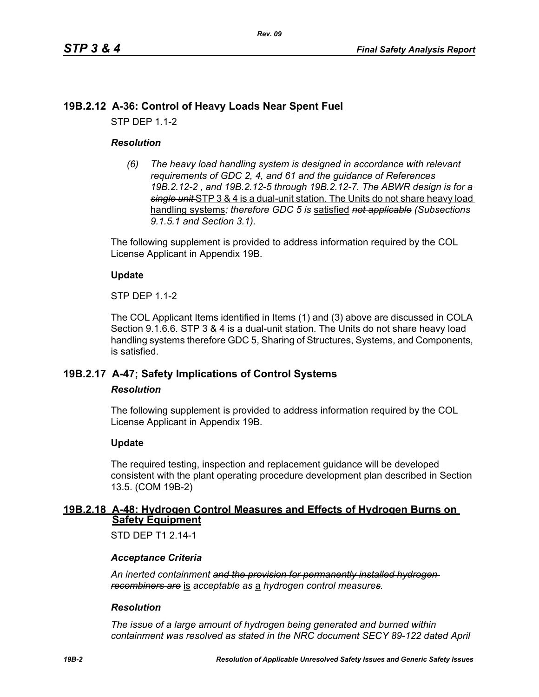# **19B.2.12 A-36: Control of Heavy Loads Near Spent Fuel**

STP DEP 1.1-2

## *Resolution*

*(6) The heavy load handling system is designed in accordance with relevant requirements of GDC 2, 4, and 61 and the guidance of References 19B.2.12-2 , and 19B.2.12-5 through 19B.2.12-7. The ABWR design is for a single unit* STP 3 & 4 is a dual-unit station. The Units do not share heavy load handling systems*; therefore GDC 5 is* satisfied *not applicable (Subsections 9.1.5.1 and Section 3.1).*

The following supplement is provided to address information required by the COL License Applicant in Appendix 19B.

## **Update**

STP DEP 1.1-2

The COL Applicant Items identified in Items (1) and (3) above are discussed in COLA Section 9.1.6.6. STP 3 & 4 is a dual-unit station. The Units do not share heavy load handling systems therefore GDC 5, Sharing of Structures, Systems, and Components, is satisfied.

# **19B.2.17 A-47; Safety Implications of Control Systems**

### *Resolution*

The following supplement is provided to address information required by the COL License Applicant in Appendix 19B.

## **Update**

The required testing, inspection and replacement guidance will be developed consistent with the plant operating procedure development plan described in Section 13.5. (COM 19B-2)

## **19B.2.18 A-48: Hydrogen Control Measures and Effects of Hydrogen Burns on Safety Equipment**

STD DFP T1 2 14-1

## *Acceptance Criteria*

*An inerted containment and the provision for permanently installed hydrogen recombiners are* is *acceptable as* a *hydrogen control measures.*

### *Resolution*

*The issue of a large amount of hydrogen being generated and burned within containment was resolved as stated in the NRC document SECY 89-122 dated April*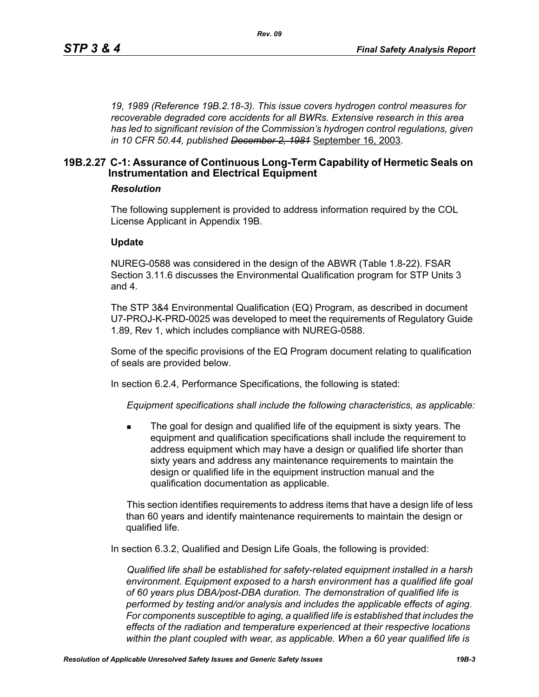*19, 1989 (Reference 19B.2.18-3). This issue covers hydrogen control measures for recoverable degraded core accidents for all BWRs. Extensive research in this area has led to significant revision of the Commission's hydrogen control regulations, given in 10 CFR 50.44, published December 2, 1981* September 16, 2003*.*

## **19B.2.27 C-1: Assurance of Continuous Long-Term Capability of Hermetic Seals on Instrumentation and Electrical Equipment**

### *Resolution*

The following supplement is provided to address information required by the COL License Applicant in Appendix 19B.

#### **Update**

NUREG-0588 was considered in the design of the ABWR (Table 1.8-22). FSAR Section 3.11.6 discusses the Environmental Qualification program for STP Units 3 and 4.

The STP 3&4 Environmental Qualification (EQ) Program, as described in document U7-PROJ-K-PRD-0025 was developed to meet the requirements of Regulatory Guide 1.89, Rev 1, which includes compliance with NUREG-0588.

Some of the specific provisions of the EQ Program document relating to qualification of seals are provided below.

In section 6.2.4, Performance Specifications, the following is stated:

*Equipment specifications shall include the following characteristics, as applicable:*

 The goal for design and qualified life of the equipment is sixty years. The equipment and qualification specifications shall include the requirement to address equipment which may have a design or qualified life shorter than sixty years and address any maintenance requirements to maintain the design or qualified life in the equipment instruction manual and the qualification documentation as applicable.

This section identifies requirements to address items that have a design life of less than 60 years and identify maintenance requirements to maintain the design or qualified life.

In section 6.3.2, Qualified and Design Life Goals, the following is provided:

*Qualified life shall be established for safety-related equipment installed in a harsh environment. Equipment exposed to a harsh environment has a qualified life goal of 60 years plus DBA/post-DBA duration. The demonstration of qualified life is performed by testing and/or analysis and includes the applicable effects of aging. For components susceptible to aging, a qualified life is established that includes the effects of the radiation and temperature experienced at their respective locations within the plant coupled with wear, as applicable. When a 60 year qualified life is*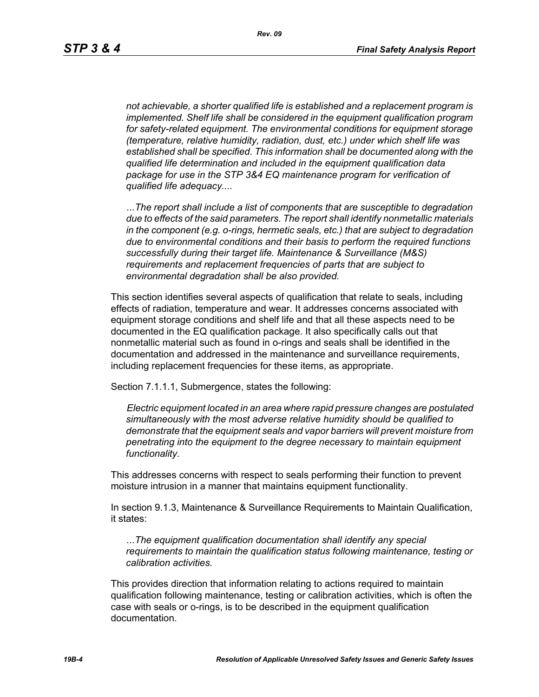*not achievable, a shorter qualified life is established and a replacement program is implemented. Shelf life shall be considered in the equipment qualification program for safety-related equipment. The environmental conditions for equipment storage (temperature, relative humidity, radiation, dust, etc.) under which shelf life was established shall be specified. This information shall be documented along with the qualified life determination and included in the equipment qualification data package for use in the STP 3&4 EQ maintenance program for verification of qualified life adequacy....*

*...The report shall include a list of components that are susceptible to degradation due to effects of the said parameters. The report shall identify nonmetallic materials in the component (e.g. o-rings, hermetic seals, etc.) that are subject to degradation due to environmental conditions and their basis to perform the required functions successfully during their target life. Maintenance & Surveillance (M&S) requirements and replacement frequencies of parts that are subject to environmental degradation shall be also provided.*

This section identifies several aspects of qualification that relate to seals, including effects of radiation, temperature and wear. It addresses concerns associated with equipment storage conditions and shelf life and that all these aspects need to be documented in the EQ qualification package. It also specifically calls out that nonmetallic material such as found in o-rings and seals shall be identified in the documentation and addressed in the maintenance and surveillance requirements, including replacement frequencies for these items, as appropriate.

Section 7.1.1.1, Submergence, states the following:

*Electric equipment located in an area where rapid pressure changes are postulated simultaneously with the most adverse relative humidity should be qualified to demonstrate that the equipment seals and vapor barriers will prevent moisture from penetrating into the equipment to the degree necessary to maintain equipment functionality.*

This addresses concerns with respect to seals performing their function to prevent moisture intrusion in a manner that maintains equipment functionality.

In section 9.1.3, Maintenance & Surveillance Requirements to Maintain Qualification, it states:

*...The equipment qualification documentation shall identify any special requirements to maintain the qualification status following maintenance, testing or calibration activities.*

This provides direction that information relating to actions required to maintain qualification following maintenance, testing or calibration activities, which is often the case with seals or o-rings, is to be described in the equipment qualification documentation.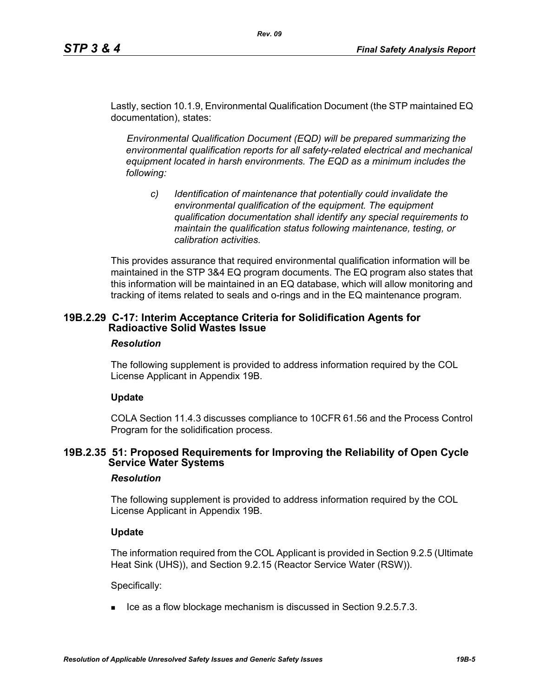Lastly, section 10.1.9, Environmental Qualification Document (the STP maintained EQ documentation), states:

*Rev. 09*

*Environmental Qualification Document (EQD) will be prepared summarizing the environmental qualification reports for all safety-related electrical and mechanical equipment located in harsh environments. The EQD as a minimum includes the following:*

*c) Identification of maintenance that potentially could invalidate the environmental qualification of the equipment. The equipment qualification documentation shall identify any special requirements to maintain the qualification status following maintenance, testing, or calibration activities.*

This provides assurance that required environmental qualification information will be maintained in the STP 3&4 EQ program documents. The EQ program also states that this information will be maintained in an EQ database, which will allow monitoring and tracking of items related to seals and o-rings and in the EQ maintenance program.

## **19B.2.29 C-17: Interim Acceptance Criteria for Solidification Agents for Radioactive Solid Wastes Issue**

### *Resolution*

The following supplement is provided to address information required by the COL License Applicant in Appendix 19B.

## **Update**

COLA Section 11.4.3 discusses compliance to 10CFR 61.56 and the Process Control Program for the solidification process.

## **19B.2.35 51: Proposed Requirements for Improving the Reliability of Open Cycle Service Water Systems**

### *Resolution*

The following supplement is provided to address information required by the COL License Applicant in Appendix 19B.

### **Update**

The information required from the COL Applicant is provided in Section 9.2.5 (Ultimate Heat Sink (UHS)), and Section 9.2.15 (Reactor Service Water (RSW)).

Specifically:

 $\blacksquare$  Ice as a flow blockage mechanism is discussed in Section 9.2.5.7.3.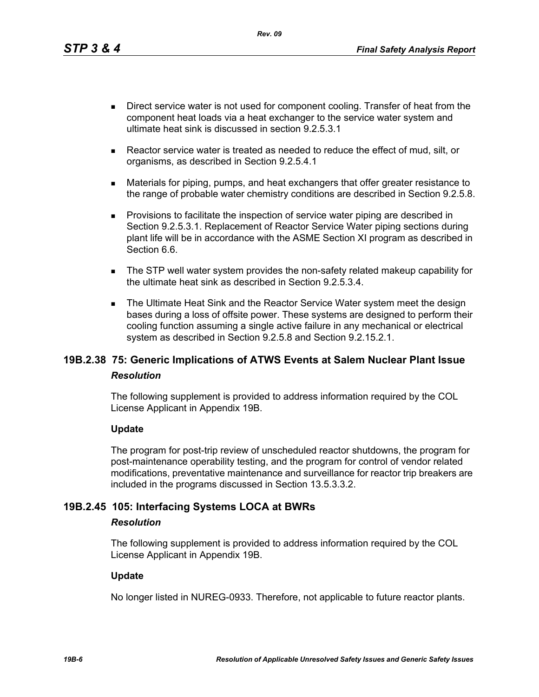*Rev. 09*

- Direct service water is not used for component cooling. Transfer of heat from the component heat loads via a heat exchanger to the service water system and ultimate heat sink is discussed in section 9.2.5.3.1
- Reactor service water is treated as needed to reduce the effect of mud, silt, or organisms, as described in Section 9.2.5.4.1
- Materials for piping, pumps, and heat exchangers that offer greater resistance to the range of probable water chemistry conditions are described in Section 9.2.5.8.
- **Provisions to facilitate the inspection of service water piping are described in** Section 9.2.5.3.1. Replacement of Reactor Service Water piping sections during plant life will be in accordance with the ASME Section XI program as described in Section 6.6.
- The STP well water system provides the non-safety related makeup capability for the ultimate heat sink as described in Section 9.2.5.3.4.
- The Ultimate Heat Sink and the Reactor Service Water system meet the design bases during a loss of offsite power. These systems are designed to perform their cooling function assuming a single active failure in any mechanical or electrical system as described in Section 9.2.5.8 and Section 9.2.15.2.1.

# **19B.2.38 75: Generic Implications of ATWS Events at Salem Nuclear Plant Issue** *Resolution*

The following supplement is provided to address information required by the COL License Applicant in Appendix 19B.

## **Update**

The program for post-trip review of unscheduled reactor shutdowns, the program for post-maintenance operability testing, and the program for control of vendor related modifications, preventative maintenance and surveillance for reactor trip breakers are included in the programs discussed in Section 13.5.3.3.2.

# **19B.2.45 105: Interfacing Systems LOCA at BWRs**

### *Resolution*

The following supplement is provided to address information required by the COL License Applicant in Appendix 19B.

### **Update**

No longer listed in NUREG-0933. Therefore, not applicable to future reactor plants.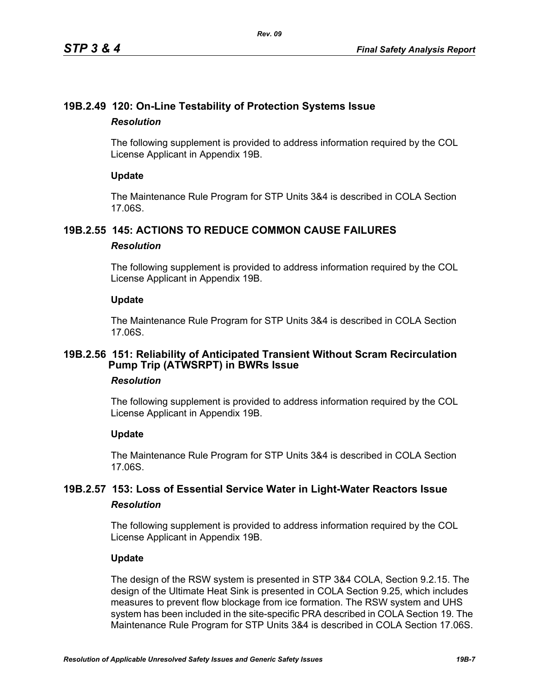# **19B.2.49 120: On-Line Testability of Protection Systems Issue** *Resolution*

The following supplement is provided to address information required by the COL License Applicant in Appendix 19B.

## **Update**

The Maintenance Rule Program for STP Units 3&4 is described in COLA Section 17.06S.

# **19B.2.55 145: ACTIONS TO REDUCE COMMON CAUSE FAILURES**

## *Resolution*

The following supplement is provided to address information required by the COL License Applicant in Appendix 19B.

## **Update**

The Maintenance Rule Program for STP Units 3&4 is described in COLA Section 17.06S.

## **19B.2.56 151: Reliability of Anticipated Transient Without Scram Recirculation Pump Trip (ATWSRPT) in BWRs Issue**

## *Resolution*

The following supplement is provided to address information required by the COL License Applicant in Appendix 19B.

## **Update**

The Maintenance Rule Program for STP Units 3&4 is described in COLA Section 17.06S.

# **19B.2.57 153: Loss of Essential Service Water in Light-Water Reactors Issue** *Resolution*

The following supplement is provided to address information required by the COL License Applicant in Appendix 19B.

## **Update**

The design of the RSW system is presented in STP 3&4 COLA, Section 9.2.15. The design of the Ultimate Heat Sink is presented in COLA Section 9.25, which includes measures to prevent flow blockage from ice formation. The RSW system and UHS system has been included in the site-specific PRA described in COLA Section 19. The Maintenance Rule Program for STP Units 3&4 is described in COLA Section 17.06S.